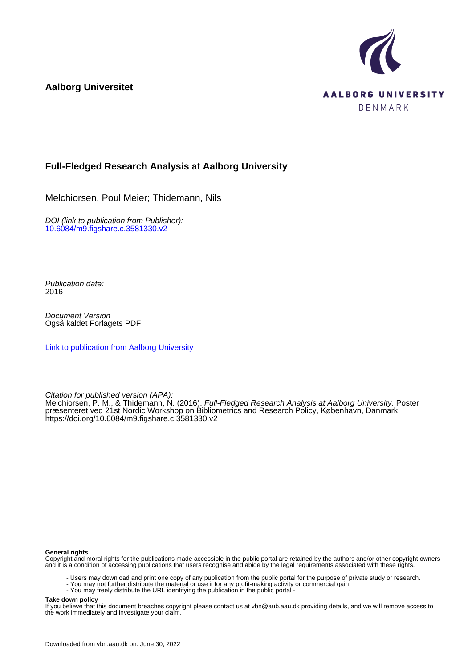**Aalborg Universitet**



### **Full-Fledged Research Analysis at Aalborg University**

Melchiorsen, Poul Meier; Thidemann, Nils

DOI (link to publication from Publisher): [10.6084/m9.figshare.c.3581330.v2](https://doi.org/10.6084/m9.figshare.c.3581330.v2)

Publication date: 2016

Document Version Også kaldet Forlagets PDF

[Link to publication from Aalborg University](https://vbn.aau.dk/da/publications/edf3164f-0cbb-4ab1-9ac2-061d0fce2eab)

Citation for published version (APA):

Melchiorsen, P. M., & Thidemann, N. (2016). Full-Fledged Research Analysis at Aalborg University. Poster præsenteret ved 21st Nordic Workshop on Bibliometrics and Research Policy, København, Danmark. <https://doi.org/10.6084/m9.figshare.c.3581330.v2>

### **General rights**

Copyright and moral rights for the publications made accessible in the public portal are retained by the authors and/or other copyright owners and it is a condition of accessing publications that users recognise and abide by the legal requirements associated with these rights.

- Users may download and print one copy of any publication from the public portal for the purpose of private study or research.
- You may not further distribute the material or use it for any profit-making activity or commercial gain
- You may freely distribute the URL identifying the publication in the public portal -

### **Take down policy**

If you believe that this document breaches copyright please contact us at vbn@aub.aau.dk providing details, and we will remove access to the work immediately and investigate your claim.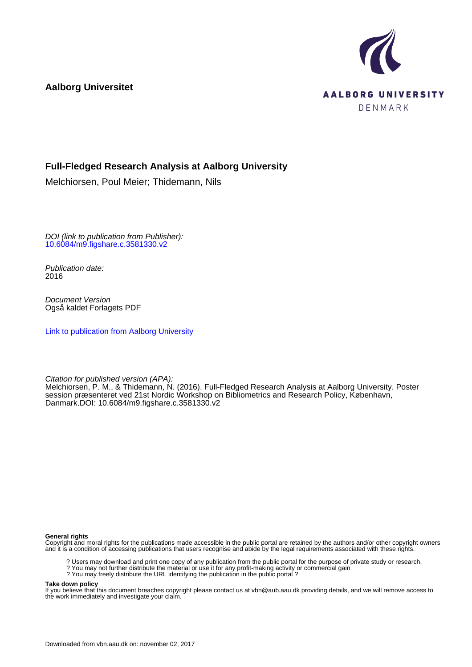**Aalborg Universitet**



### **Full-Fledged Research Analysis at Aalborg University**

Melchiorsen, Poul Meier; Thidemann, Nils

DOI (link to publication from Publisher): [10.6084/m9.figshare.c.3581330.v2](http://dx.doi.org/10.6084/m9.figshare.c.3581330.v2)

Publication date: 2016

Document Version Også kaldet Forlagets PDF

[Link to publication from Aalborg University](http://vbn.aau.dk/da/publications/fullfledged-research-analysis-at-aalborg-university(edf3164f-0cbb-4ab1-9ac2-061d0fce2eab).html)

Citation for published version (APA): Melchiorsen, P. M., & Thidemann, N. (2016). Full-Fledged Research Analysis at Aalborg University. Poster session præsenteret ved 21st Nordic Workshop on Bibliometrics and Research Policy, København, Danmark.DOI: 10.6084/m9.figshare.c.3581330.v2

**General rights**

Copyright and moral rights for the publications made accessible in the public portal are retained by the authors and/or other copyright owners and it is a condition of accessing publications that users recognise and abide by the legal requirements associated with these rights.

- ? Users may download and print one copy of any publication from the public portal for the purpose of private study or research.
- ? You may not further distribute the material or use it for any profit-making activity or commercial gain
- ? You may freely distribute the URL identifying the publication in the public portal ?

**Take down policy**

If you believe that this document breaches copyright please contact us at vbn@aub.aau.dk providing details, and we will remove access to the work immediately and investigate your claim.